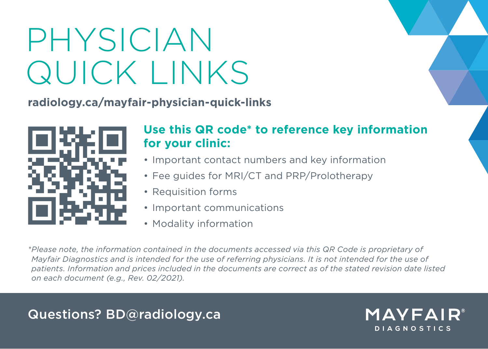# PHYSICIAN QUICK LINKS

**[radiology.ca/mayfair-physician-quick-links](http://radiology.ca/mayfair-physician-quick-links)**



#### **Use this QR code\* to reference key information for your clinic:**

- Important contact numbers and key information
- Fee guides for MRI/CT and PRP/Prolotherapy
- Requisition forms
- Important communications
- Modality information

*\*Please note, the information contained in the documents accessed via this QR Code is proprietary of Mayfair Diagnostics and is intended for the use of referring physicians. It is not intended for the use of*  patients. Information and prices included in the documents are correct as of the stated revision date listed *on each document (e.g., Rev. 02/2021).*

## Questions? BD@radiology.ca

MAYFAIR® **DIAGNOSTICS**